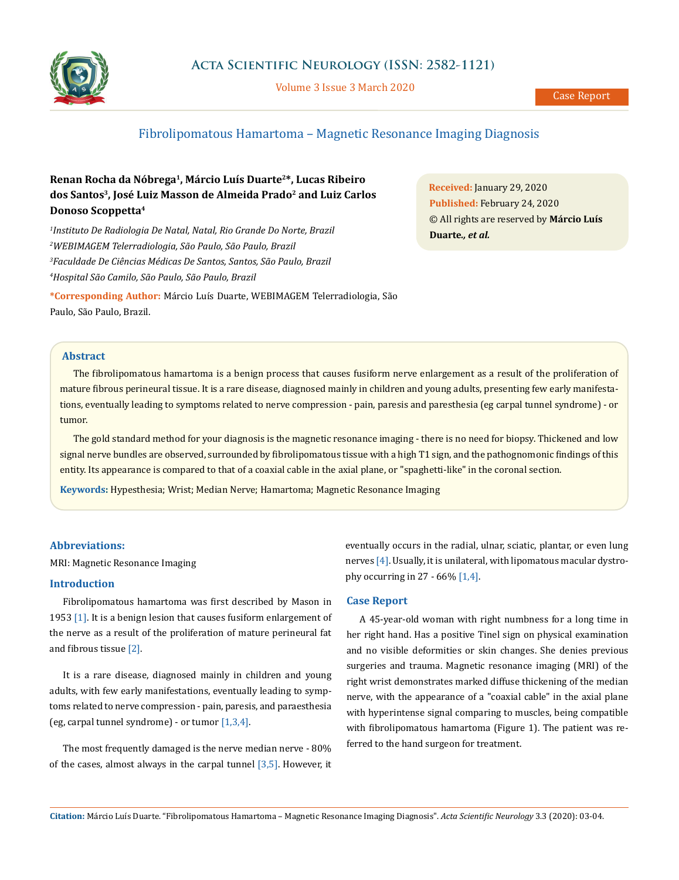

Volume 3 Issue 3 March 2020

# Fibrolipomatous Hamartoma – Magnetic Resonance Imaging Diagnosis

# **Renan Rocha da Nóbrega1, Márcio Luís Duarte2\*, Lucas Ribeiro dos Santos3, José Luiz Masson de Almeida Prado2 and Luiz Carlos Donoso Scoppetta4**

 *Instituto De Radiologia De Natal, Natal, Rio Grande Do Norte, Brazil WEBIMAGEM Telerradiologia, São Paulo, São Paulo, Brazil Faculdade De Ciências Médicas De Santos, Santos, São Paulo, Brazil Hospital São Camilo, São Paulo, São Paulo, Brazil*

**\*Corresponding Author:** Márcio Luís Duarte, WEBIMAGEM Telerradiologia, São Paulo, São Paulo, Brazil.

**Received:** January 29, 2020 **Published:** February 24, 2020 © All rights are reserved by **Márcio Luís Duarte***., et al.*

## **Abstract**

The fibrolipomatous hamartoma is a benign process that causes fusiform nerve enlargement as a result of the proliferation of mature fibrous perineural tissue. It is a rare disease, diagnosed mainly in children and young adults, presenting few early manifestations, eventually leading to symptoms related to nerve compression - pain, paresis and paresthesia (eg carpal tunnel syndrome) - or tumor.

The gold standard method for your diagnosis is the magnetic resonance imaging - there is no need for biopsy. Thickened and low signal nerve bundles are observed, surrounded by fibrolipomatous tissue with a high T1 sign, and the pathognomonic findings of this entity. Its appearance is compared to that of a coaxial cable in the axial plane, or "spaghetti-like" in the coronal section.

**Keywords:** Hypesthesia; Wrist; Median Nerve; Hamartoma; Magnetic Resonance Imaging

### **Abbreviations:**

MRI: Magnetic Resonance Imaging

## **Introduction**

Fibrolipomatous hamartoma was first described by Mason in 1953 [1]. It is a benign lesion that causes fusiform enlargement of the nerve as a result of the proliferation of mature perineural fat and fibrous tissue [2].

It is a rare disease, diagnosed mainly in children and young adults, with few early manifestations, eventually leading to symptoms related to nerve compression - pain, paresis, and paraesthesia (eg, carpal tunnel syndrome) - or tumor  $[1,3,4]$ .

The most frequently damaged is the nerve median nerve - 80% of the cases, almost always in the carpal tunnel  $[3,5]$ . However, it eventually occurs in the radial, ulnar, sciatic, plantar, or even lung nerves [4]. Usually, it is unilateral, with lipomatous macular dystrophy occurring in 27 -  $66\%$  [1,4].

#### **Case Report**

A 45-year-old woman with right numbness for a long time in her right hand. Has a positive Tinel sign on physical examination and no visible deformities or skin changes. She denies previous surgeries and trauma. Magnetic resonance imaging (MRI) of the right wrist demonstrates marked diffuse thickening of the median nerve, with the appearance of a "coaxial cable" in the axial plane with hyperintense signal comparing to muscles, being compatible with fibrolipomatous hamartoma (Figure 1). The patient was referred to the hand surgeon for treatment.